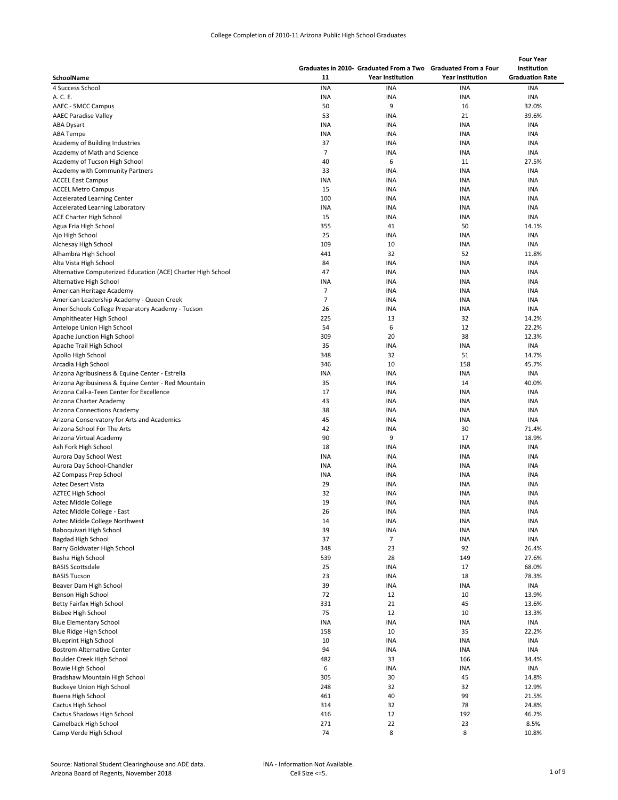|                                                              |            |                                                               |                         | <b>Four Year</b>       |  |
|--------------------------------------------------------------|------------|---------------------------------------------------------------|-------------------------|------------------------|--|
|                                                              |            | Graduates in 2010- Graduated From a Two Graduated From a Four |                         | Institution            |  |
| SchoolName                                                   | 11         | <b>Year Institution</b>                                       | <b>Year Institution</b> | <b>Graduation Rate</b> |  |
| 4 Success School                                             | <b>INA</b> | <b>INA</b>                                                    | <b>INA</b>              | <b>INA</b>             |  |
|                                                              | INA        | <b>INA</b>                                                    | <b>INA</b>              | <b>INA</b>             |  |
| A. C. E.<br>AAEC - SMCC Campus                               |            | 9                                                             |                         | 32.0%                  |  |
|                                                              | 50         |                                                               | 16                      |                        |  |
| <b>AAEC Paradise Valley</b>                                  | 53         | <b>INA</b>                                                    | 21                      | 39.6%                  |  |
| ABA Dysart                                                   | <b>INA</b> | <b>INA</b>                                                    | <b>INA</b>              | <b>INA</b>             |  |
| <b>ABA Tempe</b>                                             | <b>INA</b> | <b>INA</b>                                                    | INA                     | <b>INA</b>             |  |
| Academy of Building Industries                               | 37         | <b>INA</b>                                                    | INA                     | <b>INA</b>             |  |
| Academy of Math and Science                                  | 7          | <b>INA</b>                                                    | <b>INA</b>              | <b>INA</b>             |  |
| Academy of Tucson High School                                | 40         | 6                                                             | 11                      | 27.5%                  |  |
| Academy with Community Partners                              | 33         | <b>INA</b>                                                    | <b>INA</b>              | <b>INA</b>             |  |
| <b>ACCEL East Campus</b>                                     | INA        | <b>INA</b>                                                    | INA                     | INA                    |  |
| <b>ACCEL Metro Campus</b>                                    | 15         | <b>INA</b>                                                    | INA                     | <b>INA</b>             |  |
| <b>Accelerated Learning Center</b>                           | 100        | <b>INA</b>                                                    | INA                     | INA                    |  |
| Accelerated Learning Laboratory                              | INA        | <b>INA</b>                                                    | INA                     | INA                    |  |
| ACE Charter High School                                      | 15         | <b>INA</b>                                                    | INA                     | <b>INA</b>             |  |
| Agua Fria High School                                        | 355        | 41                                                            | 50                      | 14.1%                  |  |
| Ajo High School                                              | 25         | <b>INA</b>                                                    | <b>INA</b>              | <b>INA</b>             |  |
| Alchesay High School                                         | 109        | 10                                                            | <b>INA</b>              | <b>INA</b>             |  |
| Alhambra High School                                         | 441        | 32                                                            | 52                      | 11.8%                  |  |
|                                                              | 84         | <b>INA</b>                                                    | <b>INA</b>              | <b>INA</b>             |  |
| Alta Vista High School                                       |            |                                                               |                         |                        |  |
| Alternative Computerized Education (ACE) Charter High School | 47         | <b>INA</b>                                                    | <b>INA</b>              | INA                    |  |
| Alternative High School                                      | <b>INA</b> | <b>INA</b>                                                    | INA                     | <b>INA</b>             |  |
| American Heritage Academy                                    | 7          | <b>INA</b>                                                    | INA                     | <b>INA</b>             |  |
| American Leadership Academy - Queen Creek                    | 7          | <b>INA</b>                                                    | <b>INA</b>              | <b>INA</b>             |  |
| AmeriSchools College Preparatory Academy - Tucson            | 26         | <b>INA</b>                                                    | INA                     | INA                    |  |
| Amphitheater High School                                     | 225        | 13                                                            | 32                      | 14.2%                  |  |
| Antelope Union High School                                   | 54         | 6                                                             | 12                      | 22.2%                  |  |
| Apache Junction High School                                  | 309        | 20                                                            | 38                      | 12.3%                  |  |
| Apache Trail High School                                     | 35         | <b>INA</b>                                                    | <b>INA</b>              | INA                    |  |
| Apollo High School                                           | 348        | 32                                                            | 51                      | 14.7%                  |  |
| Arcadia High School                                          | 346        | 10                                                            | 158                     | 45.7%                  |  |
| Arizona Agribusiness & Equine Center - Estrella              | INA        | <b>INA</b>                                                    | INA                     | <b>INA</b>             |  |
| Arizona Agribusiness & Equine Center - Red Mountain          | 35         | <b>INA</b>                                                    | 14                      | 40.0%                  |  |
| Arizona Call-a-Teen Center for Excellence                    | 17         | <b>INA</b>                                                    | INA                     | <b>INA</b>             |  |
| Arizona Charter Academy                                      | 43         | <b>INA</b>                                                    | INA                     | <b>INA</b>             |  |
| Arizona Connections Academy                                  | 38         | <b>INA</b>                                                    | INA                     | <b>INA</b>             |  |
| Arizona Conservatory for Arts and Academics                  | 45         | <b>INA</b>                                                    | INA                     | <b>INA</b>             |  |
| Arizona School For The Arts                                  |            | <b>INA</b>                                                    | 30                      |                        |  |
|                                                              | 42         |                                                               |                         | 71.4%                  |  |
| Arizona Virtual Academy                                      | 90         | 9                                                             | 17                      | 18.9%                  |  |
| Ash Fork High School                                         | 18         | <b>INA</b>                                                    | INA                     | <b>INA</b>             |  |
| Aurora Day School West                                       | <b>INA</b> | <b>INA</b>                                                    | <b>INA</b>              | INA                    |  |
| Aurora Day School-Chandler                                   | <b>INA</b> | <b>INA</b>                                                    | <b>INA</b>              | <b>INA</b>             |  |
| AZ Compass Prep School                                       | <b>INA</b> | <b>INA</b>                                                    | <b>INA</b>              | INA                    |  |
| Aztec Desert Vista                                           | 29         | <b>INA</b>                                                    | <b>INA</b>              | <b>INA</b>             |  |
| <b>AZTEC High School</b>                                     | 32         | <b>INA</b>                                                    | <b>INA</b>              | <b>INA</b>             |  |
| <b>Aztec Middle College</b>                                  | 19         | <b>INA</b>                                                    | <b>INA</b>              | <b>INA</b>             |  |
| Aztec Middle College - East                                  | 26         | <b>INA</b>                                                    | <b>INA</b>              | <b>INA</b>             |  |
| Aztec Middle College Northwest                               | 14         | <b>INA</b>                                                    | INA                     | <b>INA</b>             |  |
| Baboquivari High School                                      | 39         | <b>INA</b>                                                    | <b>INA</b>              | INA                    |  |
| Bagdad High School                                           | 37         | $\overline{7}$                                                | <b>INA</b>              | INA                    |  |
| Barry Goldwater High School                                  | 348        | 23                                                            | 92                      | 26.4%                  |  |
| Basha High School                                            | 539        | 28                                                            | 149                     | 27.6%                  |  |
| <b>BASIS Scottsdale</b>                                      | 25         | <b>INA</b>                                                    | 17                      | 68.0%                  |  |
| <b>BASIS Tucson</b>                                          | 23         | INA                                                           | 18                      | 78.3%                  |  |
|                                                              |            |                                                               |                         |                        |  |
| Beaver Dam High School                                       | 39         | <b>INA</b>                                                    | <b>INA</b>              | INA                    |  |
| Benson High School                                           | 72         | 12                                                            | 10                      | 13.9%                  |  |
| Betty Fairfax High School                                    | 331        | 21                                                            | 45                      | 13.6%                  |  |
| <b>Bisbee High School</b>                                    | 75         | 12                                                            | 10                      | 13.3%                  |  |
| <b>Blue Elementary School</b>                                | INA        | <b>INA</b>                                                    | INA                     | INA                    |  |
| Blue Ridge High School                                       | 158        | 10                                                            | 35                      | 22.2%                  |  |
| <b>Blueprint High School</b>                                 | 10         | <b>INA</b>                                                    | INA                     | INA                    |  |
| <b>Bostrom Alternative Center</b>                            | 94         | <b>INA</b>                                                    | INA                     | INA                    |  |
| Boulder Creek High School                                    | 482        | 33                                                            | 166                     | 34.4%                  |  |
| Bowie High School                                            | 6          | <b>INA</b>                                                    | INA                     | INA                    |  |
| Bradshaw Mountain High School                                | 305        | 30                                                            | 45                      | 14.8%                  |  |
| Buckeye Union High School                                    | 248        | 32                                                            | 32                      | 12.9%                  |  |
| Buena High School                                            | 461        | 40                                                            | 99                      | 21.5%                  |  |
| Cactus High School                                           | 314        | 32                                                            | 78                      | 24.8%                  |  |
| Cactus Shadows High School                                   | 416        | 12                                                            | 192                     | 46.2%                  |  |
| Camelback High School                                        | 271        | 22                                                            | 23                      | 8.5%                   |  |
|                                                              | 74         | 8                                                             | 8                       | 10.8%                  |  |
| Camp Verde High School                                       |            |                                                               |                         |                        |  |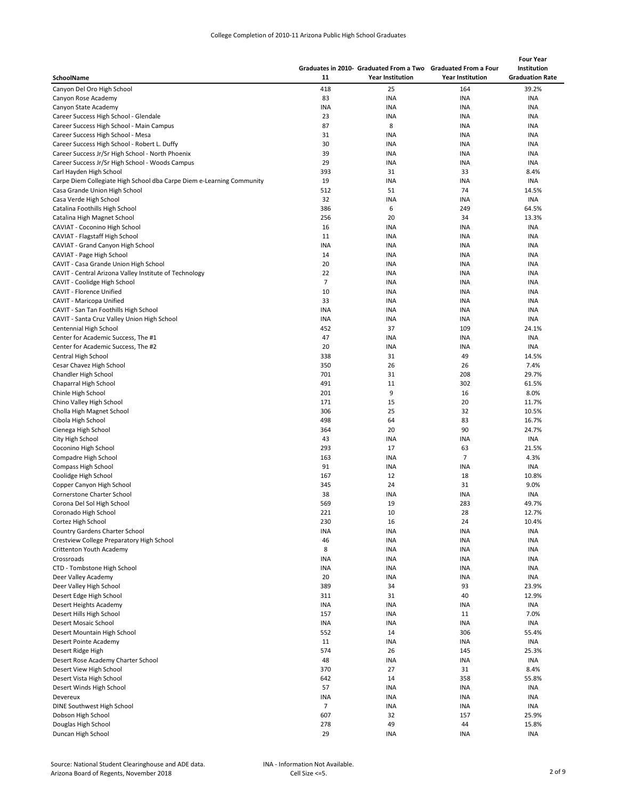| College Completion of 2010-11 Arizona Public High School Graduates |  |  |  |
|--------------------------------------------------------------------|--|--|--|
|                                                                    |  |  |  |

|                                                                               |                   |                                                               |                         | <b>Four Year</b>       |  |
|-------------------------------------------------------------------------------|-------------------|---------------------------------------------------------------|-------------------------|------------------------|--|
|                                                                               |                   | Graduates in 2010- Graduated From a Two Graduated From a Four |                         | Institution            |  |
| SchoolName                                                                    | 11                | <b>Year Institution</b>                                       | <b>Year Institution</b> | <b>Graduation Rate</b> |  |
| Canyon Del Oro High School                                                    | 418               | 25                                                            | 164                     | 39.2%                  |  |
| Canyon Rose Academy                                                           | 83                | <b>INA</b>                                                    | <b>INA</b>              | <b>INA</b>             |  |
| Canyon State Academy                                                          | <b>INA</b><br>23  | <b>INA</b>                                                    | INA                     | INA                    |  |
| Career Success High School - Glendale                                         | 87                | <b>INA</b><br>8                                               | INA<br><b>INA</b>       | INA<br>INA             |  |
| Career Success High School - Main Campus<br>Career Success High School - Mesa | 31                | INA                                                           | INA                     | <b>INA</b>             |  |
| Career Success High School - Robert L. Duffy                                  | 30                | INA                                                           | INA                     | INA                    |  |
| Career Success Jr/Sr High School - North Phoenix                              | 39                | <b>INA</b>                                                    | INA                     | <b>INA</b>             |  |
| Career Success Jr/Sr High School - Woods Campus                               | 29                | <b>INA</b>                                                    | INA                     | INA                    |  |
| Carl Hayden High School                                                       | 393               | 31                                                            | 33                      | 8.4%                   |  |
| Carpe Diem Collegiate High School dba Carpe Diem e-Learning Community         | 19                | <b>INA</b>                                                    | <b>INA</b>              | <b>INA</b>             |  |
| Casa Grande Union High School                                                 | 512               | 51                                                            | 74                      | 14.5%                  |  |
| Casa Verde High School                                                        | 32                | <b>INA</b>                                                    | <b>INA</b>              | INA                    |  |
| Catalina Foothills High School                                                | 386               | 6                                                             | 249                     | 64.5%                  |  |
| Catalina High Magnet School                                                   | 256               | 20                                                            | 34                      | 13.3%                  |  |
| CAVIAT - Coconino High School                                                 | 16                | <b>INA</b>                                                    | <b>INA</b>              | INA                    |  |
| CAVIAT - Flagstaff High School                                                | 11                | <b>INA</b>                                                    | <b>INA</b>              | INA                    |  |
| CAVIAT - Grand Canyon High School                                             | <b>INA</b>        | <b>INA</b>                                                    | INA                     | INA                    |  |
| CAVIAT - Page High School                                                     | 14                | <b>INA</b>                                                    | INA                     | INA                    |  |
| CAVIT - Casa Grande Union High School                                         | 20                | INA                                                           | INA                     | INA                    |  |
| CAVIT - Central Arizona Valley Institute of Technology                        | 22                | INA                                                           | INA                     | INA                    |  |
| CAVIT - Coolidge High School                                                  | 7                 | <b>INA</b>                                                    | <b>INA</b>              | INA                    |  |
| CAVIT - Florence Unified                                                      | 10                | <b>INA</b>                                                    | INA                     | INA                    |  |
| CAVIT - Maricopa Unified                                                      | 33                | <b>INA</b>                                                    | <b>INA</b>              | <b>INA</b>             |  |
| CAVIT - San Tan Foothills High School                                         | INA               | <b>INA</b>                                                    | INA                     | INA                    |  |
| CAVIT - Santa Cruz Valley Union High School                                   | INA               | <b>INA</b>                                                    | INA                     | INA                    |  |
| Centennial High School                                                        | 452               | 37                                                            | 109                     | 24.1%                  |  |
| Center for Academic Success, The #1                                           | 47                | <b>INA</b>                                                    | INA                     | <b>INA</b>             |  |
| Center for Academic Success, The #2                                           | 20                | <b>INA</b>                                                    | INA                     | <b>INA</b>             |  |
| Central High School                                                           | 338               | 31                                                            | 49                      | 14.5%                  |  |
| Cesar Chavez High School                                                      | 350               | 26                                                            | 26                      | 7.4%                   |  |
| Chandler High School                                                          | 701               | 31                                                            | 208                     | 29.7%                  |  |
| Chaparral High School                                                         | 491<br>201        | 11<br>9                                                       | 302                     | 61.5%<br>8.0%          |  |
| Chinle High School<br>Chino Valley High School                                | 171               | 15                                                            | 16<br>20                | 11.7%                  |  |
| Cholla High Magnet School                                                     | 306               | 25                                                            | 32                      | 10.5%                  |  |
| Cibola High School                                                            | 498               | 64                                                            | 83                      | 16.7%                  |  |
| Cienega High School                                                           | 364               | 20                                                            | 90                      | 24.7%                  |  |
| City High School                                                              | 43                | INA                                                           | <b>INA</b>              | INA                    |  |
| Coconino High School                                                          | 293               | 17                                                            | 63                      | 21.5%                  |  |
| Compadre High School                                                          | 163               | <b>INA</b>                                                    | $\overline{7}$          | 4.3%                   |  |
| Compass High School                                                           | 91                | <b>INA</b>                                                    | <b>INA</b>              | INA                    |  |
| Coolidge High School                                                          | 167               | 12                                                            | 18                      | 10.8%                  |  |
| Copper Canyon High School                                                     | 345               | 24                                                            | 31                      | 9.0%                   |  |
| Cornerstone Charter School                                                    | 38                | <b>INA</b>                                                    | INA                     | INA                    |  |
| Corona Del Sol High School                                                    | 569               | 19                                                            | 283                     | 49.7%                  |  |
| Coronado High School                                                          | 221               | 10                                                            | 28                      | 12.7%                  |  |
| Cortez High School                                                            | 230               | 16                                                            | 24                      | 10.4%                  |  |
| Country Gardens Charter School                                                | INA               | <b>INA</b>                                                    | INA                     | INA                    |  |
| Crestview College Preparatory High School                                     | 46                | <b>INA</b>                                                    | INA                     | <b>INA</b>             |  |
| Crittenton Youth Academy                                                      | 8                 | INA                                                           | <b>INA</b>              | INA                    |  |
| Crossroads                                                                    | INA               | INA                                                           | <b>INA</b>              | INA                    |  |
| CTD - Tombstone High School                                                   | INA               | INA                                                           | INA                     | INA                    |  |
| Deer Valley Academy                                                           | 20                | <b>INA</b>                                                    | INA                     | INA                    |  |
| Deer Valley High School                                                       | 389               | 34                                                            | 93                      | 23.9%                  |  |
| Desert Edge High School                                                       | 311               | 31                                                            | 40                      | 12.9%                  |  |
| Desert Heights Academy                                                        | <b>INA</b>        | <b>INA</b>                                                    | INA                     | INA                    |  |
| Desert Hills High School                                                      | 157               | INA                                                           | 11                      | 7.0%                   |  |
| Desert Mosaic School                                                          | <b>INA</b><br>552 | INA<br>14                                                     | INA<br>306              | <b>INA</b><br>55.4%    |  |
| Desert Mountain High School<br>Desert Pointe Academy                          | 11                | <b>INA</b>                                                    | INA                     | INA                    |  |
| Desert Ridge High                                                             | 574               | 26                                                            | 145                     | 25.3%                  |  |
| Desert Rose Academy Charter School                                            | 48                | <b>INA</b>                                                    | INA                     | INA                    |  |
| Desert View High School                                                       | 370               | 27                                                            | 31                      | 8.4%                   |  |
| Desert Vista High School                                                      | 642               | 14                                                            | 358                     | 55.8%                  |  |
| Desert Winds High School                                                      | 57                | <b>INA</b>                                                    | <b>INA</b>              | <b>INA</b>             |  |
| Devereux                                                                      | INA               | INA                                                           | <b>INA</b>              | <b>INA</b>             |  |
| DINE Southwest High School                                                    | 7                 | INA                                                           | <b>INA</b>              | INA                    |  |
| Dobson High School                                                            | 607               | 32                                                            | 157                     | 25.9%                  |  |
| Douglas High School                                                           | 278               | 49                                                            | 44                      | 15.8%                  |  |
| Duncan High School                                                            | 29                | <b>INA</b>                                                    | INA                     | INA                    |  |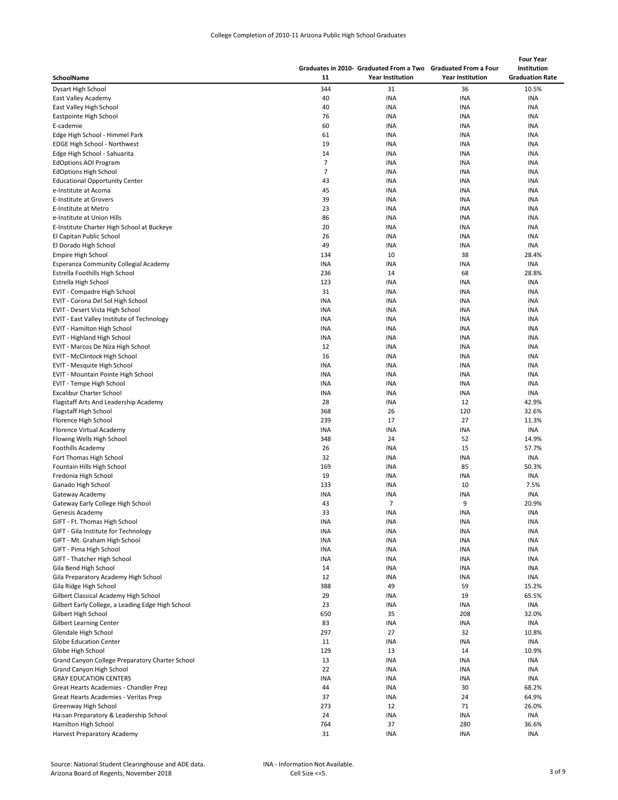| College Completion of 2010-11 Arizona Public High School Graduates |  |  |  |
|--------------------------------------------------------------------|--|--|--|
|--------------------------------------------------------------------|--|--|--|

|                                                   |                | Graduates in 2010- Graduated From a Two Graduated From a Four |                         | <b>Four Year</b><br>Institution |
|---------------------------------------------------|----------------|---------------------------------------------------------------|-------------------------|---------------------------------|
| SchoolName                                        | 11             | <b>Year Institution</b>                                       | <b>Year Institution</b> | <b>Graduation Rate</b>          |
| Dysart High School                                | 344            | 31                                                            | 36                      | 10.5%                           |
| East Valley Academy                               | 40             | <b>INA</b>                                                    | INA                     | INA                             |
| East Valley High School                           | 40             | <b>INA</b>                                                    | <b>INA</b>              | <b>INA</b>                      |
| Eastpointe High School                            | 76             | <b>INA</b>                                                    | INA                     | <b>INA</b>                      |
| E-cademie                                         | 60             | <b>INA</b>                                                    | INA                     | <b>INA</b>                      |
| Edge High School - Himmel Park                    | 61             | <b>INA</b>                                                    | INA                     | INA                             |
| EDGE High School - Northwest                      | 19             | <b>INA</b>                                                    | INA                     | INA                             |
| Edge High School - Sahuarita                      | 14             | <b>INA</b>                                                    | INA                     | INA                             |
| <b>EdOptions AOI Program</b>                      | $\overline{7}$ | <b>INA</b>                                                    | INA                     | INA                             |
| <b>EdOptions High School</b>                      | $\overline{7}$ | <b>INA</b>                                                    | INA                     | INA                             |
| <b>Educational Opportunity Center</b>             | 43             | <b>INA</b>                                                    | INA                     | INA                             |
| e-Institute at Acoma                              | 45             | <b>INA</b>                                                    | INA                     | INA                             |
| <b>E-Institute at Grovers</b>                     | 39             | <b>INA</b>                                                    | INA                     | <b>INA</b>                      |
| E-Institute at Metro                              | 23             | <b>INA</b>                                                    | INA                     | <b>INA</b>                      |
| e-Institute at Union Hills                        | 86             | <b>INA</b>                                                    | INA                     | INA                             |
| E-Institute Charter High School at Buckeye        | 20             | <b>INA</b>                                                    | <b>INA</b>              | <b>INA</b>                      |
| El Capitan Public School                          | 26             | <b>INA</b>                                                    | INA                     | <b>INA</b>                      |
| El Dorado High School                             | 49             | <b>INA</b>                                                    | <b>INA</b>              | <b>INA</b>                      |
| Empire High School                                | 134            | 10                                                            | 38                      | 28.4%                           |
| Esperanza Community Collegial Academy             | <b>INA</b>     | <b>INA</b>                                                    | INA                     | <b>INA</b>                      |
| Estrella Foothills High School                    | 236            | 14                                                            | 68                      | 28.8%                           |
| Estrella High School                              | 123            | <b>INA</b>                                                    | INA                     | <b>INA</b>                      |
| EVIT - Compadre High School                       | 31             | <b>INA</b>                                                    | INA                     | <b>INA</b>                      |
| EVIT - Corona Del Sol High School                 | <b>INA</b>     | <b>INA</b>                                                    | INA                     | INA                             |
| EVIT - Desert Vista High School                   | <b>INA</b>     | <b>INA</b>                                                    | INA                     | <b>INA</b>                      |
| EVIT - East Valley Institute of Technology        | <b>INA</b>     | <b>INA</b>                                                    | INA                     | <b>INA</b>                      |
| EVIT - Hamilton High School                       | INA            | <b>INA</b>                                                    | INA                     | INA                             |
| EVIT - Highland High School                       | <b>INA</b>     | <b>INA</b>                                                    | INA                     | <b>INA</b>                      |
| EVIT - Marcos De Niza High School                 | 12             | <b>INA</b>                                                    | <b>INA</b>              | <b>INA</b>                      |
| <b>EVIT - McClintock High School</b>              | 16             | <b>INA</b>                                                    | INA                     | <b>INA</b>                      |
| EVIT - Mesquite High School                       | INA            | <b>INA</b>                                                    | INA                     | INA                             |
| EVIT - Mountain Pointe High School                | <b>INA</b>     | <b>INA</b>                                                    | INA                     | INA                             |
| EVIT - Tempe High School                          | INA            | <b>INA</b>                                                    | INA                     | INA                             |
| <b>Excalibur Charter School</b>                   | <b>INA</b>     | <b>INA</b>                                                    | INA                     | <b>INA</b>                      |
| Flagstaff Arts And Leadership Academy             | 28             | <b>INA</b>                                                    | 12                      | 42.9%                           |
| Flagstaff High School                             | 368            | 26                                                            | 120                     | 32.6%                           |
| Florence High School                              | 239            | 17                                                            | 27                      | 11.3%                           |
| Florence Virtual Academy                          | <b>INA</b>     | <b>INA</b>                                                    | <b>INA</b>              | INA                             |
| Flowing Wells High School                         | 348            | 24                                                            | 52                      | 14.9%                           |
| Foothills Academy                                 | 26             | <b>INA</b>                                                    | 15                      | 57.7%                           |
| Fort Thomas High School                           | 32             | <b>INA</b>                                                    | <b>INA</b>              | INA                             |
| Fountain Hills High School                        | 169            | <b>INA</b>                                                    | 85                      | 50.3%                           |
| Fredonia High School                              | 19             | <b>INA</b>                                                    | <b>INA</b>              | INA                             |
| Ganado High School                                | 133            | <b>INA</b>                                                    | 10                      | 7.5%                            |
| Gateway Academy                                   | <b>INA</b>     | <b>INA</b>                                                    | <b>INA</b>              | INA                             |
| Gateway Early College High School                 | 43             | $\overline{7}$                                                | 9                       | 20.9%                           |
| Genesis Academy                                   | 33             | <b>INA</b>                                                    | <b>INA</b>              | <b>INA</b>                      |
| GIFT - Ft. Thomas High School                     | INA            | <b>INA</b>                                                    | <b>INA</b>              | INA                             |
| GIFT - Gila Institute for Technology              | <b>INA</b>     | INA                                                           | <b>INA</b>              | INA                             |
| GIFT - Mt. Graham High School                     | INA            | INA                                                           | INA                     | <b>INA</b>                      |
| GIFT - Pima High School                           | INA            | INA                                                           | <b>INA</b>              | INA                             |
| GIFT - Thatcher High School                       | INA            | INA                                                           | INA                     | INA                             |
| Gila Bend High School                             | 14             | INA                                                           | <b>INA</b>              | INA                             |
| Gila Preparatory Academy High School              | 12             | INA                                                           | <b>INA</b>              | <b>INA</b>                      |
| Gila Ridge High School                            | 388            | 49                                                            | 59                      | 15.2%                           |
| Gilbert Classical Academy High School             | 29             | <b>INA</b>                                                    | 19                      | 65.5%                           |
| Gilbert Early College, a Leading Edge High School | 23             | INA                                                           | INA                     | INA                             |
| Gilbert High School                               | 650            | 35                                                            | 208                     | 32.0%                           |
| <b>Gilbert Learning Center</b>                    | 83             | <b>INA</b>                                                    | INA                     | INA                             |
| Glendale High School                              | 297            | 27                                                            | 32                      | 10.8%                           |
| <b>Globe Education Center</b>                     | 11             | INA                                                           | <b>INA</b>              | INA                             |
| Globe High School                                 | 129            | 13                                                            | 14                      | 10.9%                           |
| Grand Canyon College Preparatory Charter School   | 13             | INA                                                           | <b>INA</b>              | INA                             |
| Grand Canyon High School                          | 22             | INA                                                           | <b>INA</b>              | <b>INA</b>                      |
| <b>GRAY EDUCATION CENTERS</b>                     | <b>INA</b>     | INA                                                           | INA                     | INA                             |
| Great Hearts Academies - Chandler Prep            | 44             | <b>INA</b>                                                    | 30                      | 68.2%                           |
| Great Hearts Academies - Veritas Prep             | 37             | <b>INA</b>                                                    | 24                      | 64.9%                           |
| Greenway High School                              | 273            | 12                                                            | 71                      | 26.0%                           |
| Ha:san Preparatory & Leadership School            | 24             | <b>INA</b>                                                    | <b>INA</b>              | INA                             |
| Hamilton High School                              | 764            | 37                                                            | 280                     | 36.6%                           |
| Harvest Preparatory Academy                       | 31             | <b>INA</b>                                                    | INA                     | <b>INA</b>                      |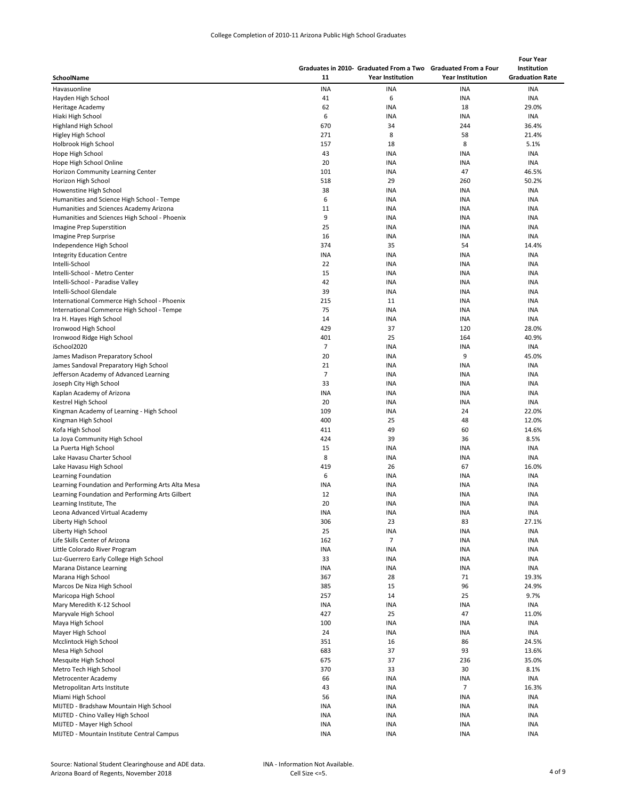|                                                   |            |                                                               |                         | <b>Four Year</b>       |
|---------------------------------------------------|------------|---------------------------------------------------------------|-------------------------|------------------------|
|                                                   |            | Graduates in 2010- Graduated From a Two Graduated From a Four |                         | Institution            |
| SchoolName                                        | 11         | <b>Year Institution</b>                                       | <b>Year Institution</b> | <b>Graduation Rate</b> |
| Havasuonline                                      | <b>INA</b> | <b>INA</b>                                                    | <b>INA</b>              | <b>INA</b>             |
| Hayden High School                                | 41         | 6                                                             | INA                     | <b>INA</b>             |
| Heritage Academy                                  | 62         | INA                                                           | 18                      | 29.0%                  |
| Hiaki High School                                 | 6          | <b>INA</b>                                                    | INA                     | INA                    |
| Highland High School                              | 670        | 34                                                            | 244                     | 36.4%                  |
| Higley High School                                | 271        | 8                                                             | 58                      | 21.4%                  |
| Holbrook High School                              | 157        | 18                                                            | 8                       | 5.1%                   |
| Hope High School                                  | 43         | <b>INA</b>                                                    | INA                     | INA                    |
| Hope High School Online                           | 20         | <b>INA</b>                                                    | <b>INA</b>              |                        |
|                                                   |            |                                                               |                         | <b>INA</b>             |
| Horizon Community Learning Center                 | 101        | <b>INA</b><br>29                                              | 47                      | 46.5%                  |
| Horizon High School                               | 518        |                                                               | 260                     | 50.2%                  |
| Howenstine High School                            | 38         | <b>INA</b>                                                    | INA                     | <b>INA</b>             |
| Humanities and Science High School - Tempe        | 6          | <b>INA</b>                                                    | INA                     | <b>INA</b>             |
| Humanities and Sciences Academy Arizona           | 11         | <b>INA</b>                                                    | INA                     | INA                    |
| Humanities and Sciences High School - Phoenix     | 9          | <b>INA</b>                                                    | INA                     | INA                    |
| Imagine Prep Superstition                         | 25         | <b>INA</b>                                                    | INA                     | <b>INA</b>             |
| Imagine Prep Surprise                             | 16         | <b>INA</b>                                                    | INA                     | <b>INA</b>             |
| Independence High School                          | 374        | 35                                                            | 54                      | 14.4%                  |
| <b>Integrity Education Centre</b>                 | <b>INA</b> | <b>INA</b>                                                    | INA                     | <b>INA</b>             |
| Intelli-School                                    | 22         | <b>INA</b>                                                    | INA                     | INA                    |
| Intelli-School - Metro Center                     | 15         | <b>INA</b>                                                    | INA                     | INA                    |
| Intelli-School - Paradise Valley                  | 42         | <b>INA</b>                                                    | INA                     | <b>INA</b>             |
| Intelli-School Glendale                           | 39         | <b>INA</b>                                                    | INA                     | INA                    |
| International Commerce High School - Phoenix      | 215        | 11                                                            | INA                     | INA                    |
| International Commerce High School - Tempe        | 75         | <b>INA</b>                                                    | <b>INA</b>              | <b>INA</b>             |
| Ira H. Hayes High School                          | 14         | <b>INA</b>                                                    | INA                     | INA                    |
| Ironwood High School                              | 429        | 37                                                            | 120                     | 28.0%                  |
| Ironwood Ridge High School                        | 401        | 25                                                            | 164                     | 40.9%                  |
| iSchool2020                                       | 7          | <b>INA</b>                                                    | INA                     | <b>INA</b>             |
| James Madison Preparatory School                  | 20         | <b>INA</b>                                                    | 9                       | 45.0%                  |
| James Sandoval Preparatory High School            | 21         | <b>INA</b>                                                    | <b>INA</b>              | INA                    |
| Jefferson Academy of Advanced Learning            | 7          | <b>INA</b>                                                    | INA                     | INA                    |
| Joseph City High School                           | 33         | <b>INA</b>                                                    | INA                     | INA                    |
| Kaplan Academy of Arizona                         | <b>INA</b> | <b>INA</b>                                                    | <b>INA</b>              | <b>INA</b>             |
| Kestrel High School                               | 20         | <b>INA</b>                                                    | INA                     | <b>INA</b>             |
| Kingman Academy of Learning - High School         | 109        | <b>INA</b>                                                    | 24                      | 22.0%                  |
| Kingman High School                               | 400        | 25                                                            | 48                      | 12.0%                  |
| Kofa High School                                  | 411        | 49                                                            | 60                      | 14.6%                  |
| La Joya Community High School                     | 424        | 39                                                            | 36                      | 8.5%                   |
| La Puerta High School                             | 15         | <b>INA</b>                                                    | INA                     | INA                    |
| Lake Havasu Charter School                        | 8          | <b>INA</b>                                                    | INA                     | <b>INA</b>             |
| Lake Havasu High School                           | 419        | 26                                                            | 67                      | 16.0%                  |
| Learning Foundation                               | 6          | <b>INA</b>                                                    | INA                     | INA                    |
| Learning Foundation and Performing Arts Alta Mesa | INA        | <b>INA</b>                                                    | INA                     | <b>INA</b>             |
| Learning Foundation and Performing Arts Gilbert   | 12         | <b>INA</b>                                                    | INA                     | <b>INA</b>             |
| Learning Institute, The                           | 20         | <b>INA</b>                                                    | <b>INA</b>              | INA                    |
|                                                   |            |                                                               |                         |                        |
| Leona Advanced Virtual Academy                    | INA        | <b>INA</b>                                                    | INA                     | INA                    |
| Liberty High School                               | 306        | 23                                                            | 83                      | 27.1%                  |
| Liberty High School                               | 25         | <b>INA</b>                                                    | <b>INA</b>              | INA                    |
| Life Skills Center of Arizona                     | 162        | $\overline{7}$                                                | <b>INA</b>              | INA                    |
| Little Colorado River Program                     | INA        | <b>INA</b>                                                    | INA                     | INA                    |
| Luz-Guerrero Early College High School            | 33         | <b>INA</b>                                                    | INA                     | INA                    |
| Marana Distance Learning                          | INA        | <b>INA</b>                                                    | INA                     | INA                    |
| Marana High School                                | 367        | 28                                                            | 71                      | 19.3%                  |
| Marcos De Niza High School                        | 385        | 15                                                            | 96                      | 24.9%                  |
| Maricopa High School                              | 257        | 14                                                            | 25                      | 9.7%                   |
| Mary Meredith K-12 School                         | INA        | INA                                                           | INA                     | INA                    |
| Maryvale High School                              | 427        | 25                                                            | 47                      | 11.0%                  |
| Maya High School                                  | 100        | <b>INA</b>                                                    | <b>INA</b>              | INA                    |
| Mayer High School                                 | 24         | <b>INA</b>                                                    | <b>INA</b>              | INA                    |
| Mcclintock High School                            | 351        | 16                                                            | 86                      | 24.5%                  |
| Mesa High School                                  | 683        | 37                                                            | 93                      | 13.6%                  |
| Mesquite High School                              | 675        | 37                                                            | 236                     | 35.0%                  |
| Metro Tech High School                            | 370        | 33                                                            | 30                      | 8.1%                   |
| Metrocenter Academy                               | 66         | <b>INA</b>                                                    | <b>INA</b>              | INA                    |
| Metropolitan Arts Institute                       | 43         | <b>INA</b>                                                    | $\overline{7}$          | 16.3%                  |
| Miami High School                                 | 56         | <b>INA</b>                                                    | INA                     | <b>INA</b>             |
| MIJTED - Bradshaw Mountain High School            | INA        | <b>INA</b>                                                    | INA                     | <b>INA</b>             |
| MIJTED - Chino Valley High School                 | INA        | <b>INA</b>                                                    | INA                     | INA                    |
| MIJTED - Mayer High School                        | INA        | <b>INA</b>                                                    | INA                     | INA                    |
| MIJTED - Mountain Institute Central Campus        | INA        | <b>INA</b>                                                    | <b>INA</b>              | <b>INA</b>             |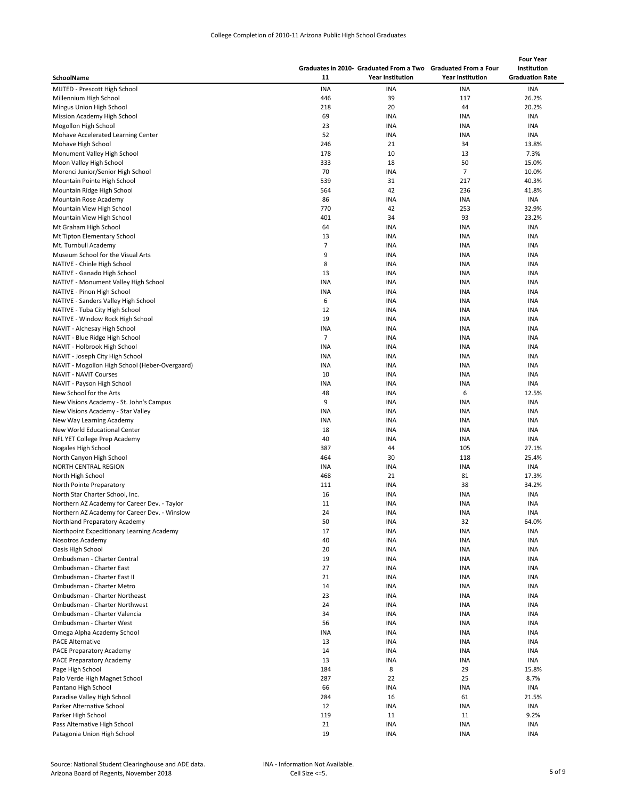| College Completion of 2010-11 Arizona Public High School Graduates |  |  |  |
|--------------------------------------------------------------------|--|--|--|
|--------------------------------------------------------------------|--|--|--|

|                                                                                |                | Graduates in 2010- Graduated From a Two Graduated From a Four |                         | <b>Four Year</b><br>Institution |
|--------------------------------------------------------------------------------|----------------|---------------------------------------------------------------|-------------------------|---------------------------------|
| SchoolName                                                                     | 11             | <b>Year Institution</b>                                       | <b>Year Institution</b> | <b>Graduation Rate</b>          |
| MIJTED - Prescott High School                                                  | <b>INA</b>     | <b>INA</b>                                                    | <b>INA</b>              | <b>INA</b>                      |
| Millennium High School                                                         | 446            | 39                                                            | 117                     | 26.2%                           |
| Mingus Union High School                                                       | 218            | 20                                                            | 44                      | 20.2%                           |
| Mission Academy High School                                                    | 69             | <b>INA</b>                                                    | <b>INA</b>              | <b>INA</b>                      |
| Mogollon High School                                                           | 23             | <b>INA</b>                                                    | INA                     | <b>INA</b>                      |
| Mohave Accelerated Learning Center                                             | 52             | <b>INA</b>                                                    | INA                     | <b>INA</b>                      |
| Mohave High School                                                             | 246            | 21                                                            | 34                      | 13.8%                           |
| Monument Valley High School                                                    | 178            | 10                                                            | 13                      | 7.3%                            |
| Moon Valley High School                                                        | 333            | 18                                                            | 50                      | 15.0%                           |
| Morenci Junior/Senior High School                                              | 70             | <b>INA</b>                                                    | $\overline{7}$          | 10.0%                           |
| Mountain Pointe High School                                                    | 539            | 31                                                            | 217                     | 40.3%                           |
| Mountain Ridge High School                                                     | 564            | 42                                                            | 236                     | 41.8%                           |
| Mountain Rose Academy                                                          | 86             | <b>INA</b>                                                    | INA                     | INA                             |
| Mountain View High School                                                      | 770            | 42                                                            | 253                     | 32.9%                           |
| Mountain View High School                                                      | 401            | 34                                                            | 93                      | 23.2%                           |
| Mt Graham High School                                                          | 64             | <b>INA</b>                                                    | INA                     | <b>INA</b>                      |
| Mt Tipton Elementary School                                                    | 13             | <b>INA</b>                                                    | <b>INA</b>              | <b>INA</b>                      |
| Mt. Turnbull Academy                                                           | 7              | <b>INA</b>                                                    | <b>INA</b>              | <b>INA</b>                      |
| Museum School for the Visual Arts                                              | 9              | <b>INA</b>                                                    | INA                     | INA                             |
| NATIVE - Chinle High School                                                    | 8              | <b>INA</b>                                                    | INA                     | INA                             |
| NATIVE - Ganado High School                                                    | 13             | <b>INA</b>                                                    | INA                     | INA                             |
| NATIVE - Monument Valley High School                                           | INA            | <b>INA</b>                                                    | INA                     | INA                             |
| NATIVE - Pinon High School                                                     | INA            | <b>INA</b>                                                    | INA                     | INA                             |
| NATIVE - Sanders Valley High School                                            | 6              | <b>INA</b>                                                    | INA                     | INA                             |
| NATIVE - Tuba City High School                                                 | 12             | <b>INA</b>                                                    | INA                     | <b>INA</b>                      |
| NATIVE - Window Rock High School                                               | 19             | <b>INA</b>                                                    | INA                     | INA                             |
| NAVIT - Alchesay High School                                                   | INA            | <b>INA</b>                                                    | INA                     | INA                             |
| NAVIT - Blue Ridge High School                                                 | $\overline{7}$ | <b>INA</b>                                                    | INA                     | INA                             |
| NAVIT - Holbrook High School                                                   | INA            | <b>INA</b>                                                    | INA                     | INA                             |
| NAVIT - Joseph City High School                                                | <b>INA</b>     | <b>INA</b>                                                    | <b>INA</b>              | <b>INA</b>                      |
| NAVIT - Mogollon High School (Heber-Overgaard)                                 | INA            | <b>INA</b>                                                    | INA                     | INA                             |
| <b>NAVIT - NAVIT Courses</b>                                                   | 10             | <b>INA</b>                                                    | INA                     | INA                             |
| NAVIT - Payson High School                                                     | INA            | <b>INA</b>                                                    | INA                     | <b>INA</b>                      |
| New School for the Arts                                                        | 48             | <b>INA</b>                                                    | 6                       | 12.5%                           |
| New Visions Academy - St. John's Campus                                        | 9              | <b>INA</b>                                                    | INA                     | <b>INA</b>                      |
| New Visions Academy - Star Valley                                              | INA            | <b>INA</b>                                                    | INA                     | <b>INA</b>                      |
| New Way Learning Academy                                                       | INA            | INA                                                           | INA                     | INA                             |
| New World Educational Center                                                   | 18             | <b>INA</b>                                                    | INA                     | INA                             |
| NFL YET College Prep Academy                                                   | 40             | <b>INA</b>                                                    | INA                     | <b>INA</b>                      |
| Nogales High School                                                            | 387            | 44                                                            | 105                     | 27.1%                           |
| North Canyon High School                                                       | 464            | 30                                                            | 118                     | 25.4%                           |
| NORTH CENTRAL REGION                                                           | INA<br>468     | <b>INA</b><br>21                                              | <b>INA</b><br>81        | <b>INA</b><br>17.3%             |
| North High School                                                              |                | <b>INA</b>                                                    |                         | 34.2%                           |
| North Pointe Preparatory<br>North Star Charter School, Inc.                    | 111<br>16      | <b>INA</b>                                                    | 38<br><b>INA</b>        | <b>INA</b>                      |
|                                                                                | 11             | <b>INA</b>                                                    | <b>INA</b>              | <b>INA</b>                      |
| Northern AZ Academy for Career Dev. - Taylor                                   | 24             | <b>INA</b>                                                    | <b>INA</b>              | <b>INA</b>                      |
| Northern AZ Academy for Career Dev. - Winslow<br>Northland Preparatory Academy | 50             | <b>INA</b>                                                    | 32                      | 64.0%                           |
| Northpoint Expeditionary Learning Academy                                      | 17             | INA                                                           | INA                     | INA                             |
| Nosotros Academy                                                               | 40             | <b>INA</b>                                                    | INA                     | INA                             |
| Oasis High School                                                              | 20             | INA                                                           | INA                     | INA                             |
| Ombudsman - Charter Central                                                    | 19             | <b>INA</b>                                                    | INA                     | INA                             |
| Ombudsman - Charter East                                                       | 27             | <b>INA</b>                                                    | INA                     | <b>INA</b>                      |
| Ombudsman - Charter East II                                                    | 21             | <b>INA</b>                                                    | INA                     | INA                             |
| Ombudsman - Charter Metro                                                      | 14             | <b>INA</b>                                                    | INA                     | INA                             |
| Ombudsman - Charter Northeast                                                  | 23             | INA                                                           | INA                     | INA                             |
| Ombudsman - Charter Northwest                                                  | 24             | INA                                                           | INA                     | INA                             |
| Ombudsman - Charter Valencia                                                   | 34             | INA                                                           | INA                     | INA                             |
| Ombudsman - Charter West                                                       | 56             | INA                                                           | INA                     | INA                             |
| Omega Alpha Academy School                                                     | INA            | <b>INA</b>                                                    | <b>INA</b>              | INA                             |
| <b>PACE Alternative</b>                                                        | 13             | INA                                                           | INA                     | INA                             |
| PACE Preparatory Academy                                                       | 14             | INA                                                           | INA                     | INA                             |
| PACE Preparatory Academy                                                       | 13             | <b>INA</b>                                                    | INA                     | INA                             |
| Page High School                                                               | 184            | 8                                                             | 29                      | 15.8%                           |
| Palo Verde High Magnet School                                                  | 287            | 22                                                            | 25                      | 8.7%                            |
| Pantano High School                                                            | 66             | <b>INA</b>                                                    | <b>INA</b>              | INA                             |
| Paradise Valley High School                                                    | 284            | 16                                                            | 61                      | 21.5%                           |
| Parker Alternative School                                                      | 12             | <b>INA</b>                                                    | INA                     | INA                             |
| Parker High School                                                             | 119            | 11                                                            | 11                      | 9.2%                            |
| Pass Alternative High School                                                   | 21             | <b>INA</b>                                                    | INA                     | INA                             |
| Patagonia Union High School                                                    | 19             | <b>INA</b>                                                    | INA                     | INA                             |
|                                                                                |                |                                                               |                         |                                 |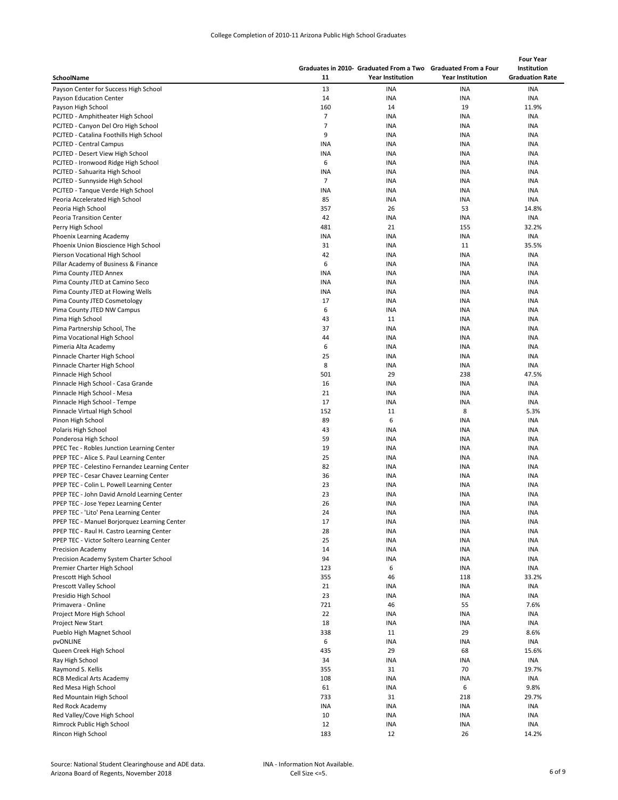| College Completion of 2010-11 Arizona Public High School Graduates |  |  |  |  |  |
|--------------------------------------------------------------------|--|--|--|--|--|
|--------------------------------------------------------------------|--|--|--|--|--|

| SchoolName                                     | 11             | Graduates in 2010- Graduated From a Two Graduated From a Four<br><b>Year Institution</b> | <b>Year Institution</b> | <b>Four Year</b><br>Institution<br><b>Graduation Rate</b> |
|------------------------------------------------|----------------|------------------------------------------------------------------------------------------|-------------------------|-----------------------------------------------------------|
| Payson Center for Success High School          | 13             | <b>INA</b>                                                                               | <b>INA</b>              | <b>INA</b>                                                |
| Payson Education Center                        | 14             | <b>INA</b>                                                                               | <b>INA</b>              | <b>INA</b>                                                |
| Payson High School                             | 160            | 14                                                                                       | 19                      | 11.9%                                                     |
| PCJTED - Amphitheater High School              | 7              | <b>INA</b>                                                                               | INA                     | <b>INA</b>                                                |
| PCJTED - Canyon Del Oro High School            | 7              | <b>INA</b>                                                                               | <b>INA</b>              | <b>INA</b>                                                |
| PCJTED - Catalina Foothills High School        | 9              | <b>INA</b>                                                                               | INA                     | INA                                                       |
| <b>PCJTED - Central Campus</b>                 | INA            | <b>INA</b>                                                                               | INA                     | INA                                                       |
| PCJTED - Desert View High School               | <b>INA</b>     | <b>INA</b>                                                                               | INA                     | INA                                                       |
| PCJTED - Ironwood Ridge High School            | 6              | <b>INA</b>                                                                               | INA                     | INA                                                       |
| PCJTED - Sahuarita High School                 | INA            | <b>INA</b>                                                                               | INA                     | INA                                                       |
| PCJTED - Sunnyside High School                 | $\overline{7}$ | <b>INA</b>                                                                               | INA                     | INA                                                       |
| PCJTED - Tanque Verde High School              | INA            | <b>INA</b>                                                                               | INA                     | <b>INA</b>                                                |
| Peoria Accelerated High School                 | 85             | <b>INA</b>                                                                               | <b>INA</b>              | <b>INA</b>                                                |
| Peoria High School                             | 357            | 26                                                                                       | 53                      | 14.8%                                                     |
| Peoria Transition Center                       | 42             | <b>INA</b>                                                                               | INA                     | <b>INA</b>                                                |
| Perry High School                              | 481            | 21                                                                                       | 155                     | 32.2%                                                     |
| Phoenix Learning Academy                       | <b>INA</b>     | <b>INA</b>                                                                               | <b>INA</b>              | INA                                                       |
| Phoenix Union Bioscience High School           | 31             | <b>INA</b>                                                                               | 11                      | 35.5%                                                     |
| Pierson Vocational High School                 | 42             | <b>INA</b>                                                                               | INA                     | INA                                                       |
| Pillar Academy of Business & Finance           | 6              | <b>INA</b>                                                                               | INA                     | <b>INA</b>                                                |
| Pima County JTED Annex                         | <b>INA</b>     | <b>INA</b>                                                                               | INA                     | INA                                                       |
| Pima County JTED at Camino Seco                | <b>INA</b>     | <b>INA</b>                                                                               | <b>INA</b>              | INA                                                       |
| Pima County JTED at Flowing Wells              | <b>INA</b>     | <b>INA</b>                                                                               | INA                     | INA                                                       |
| Pima County JTED Cosmetology                   | 17             | <b>INA</b>                                                                               | INA                     | INA                                                       |
| Pima County JTED NW Campus                     | 6              | <b>INA</b>                                                                               | <b>INA</b>              | <b>INA</b>                                                |
| Pima High School                               | 43             | 11                                                                                       | INA                     | <b>INA</b>                                                |
| Pima Partnership School, The                   | 37             | <b>INA</b>                                                                               | INA                     | INA                                                       |
| Pima Vocational High School                    | 44             | <b>INA</b>                                                                               | <b>INA</b>              | <b>INA</b>                                                |
| Pimeria Alta Academy                           | 6              | <b>INA</b>                                                                               | <b>INA</b>              | <b>INA</b>                                                |
| Pinnacle Charter High School                   | 25             | <b>INA</b>                                                                               | INA                     | <b>INA</b>                                                |
| Pinnacle Charter High School                   | 8              | <b>INA</b>                                                                               | INA                     | INA                                                       |
| Pinnacle High School                           | 501            | 29                                                                                       | 238                     | 47.5%                                                     |
| Pinnacle High School - Casa Grande             | 16             | <b>INA</b>                                                                               | INA                     | <b>INA</b>                                                |
| Pinnacle High School - Mesa                    | 21             | <b>INA</b>                                                                               | INA                     | <b>INA</b>                                                |
| Pinnacle High School - Tempe                   | 17             | <b>INA</b>                                                                               | INA                     | <b>INA</b>                                                |
| Pinnacle Virtual High School                   | 152            | 11                                                                                       | 8                       | 5.3%                                                      |
| Pinon High School                              | 89             | 6                                                                                        | INA                     | <b>INA</b>                                                |
| Polaris High School                            | 43             | <b>INA</b>                                                                               | INA                     | <b>INA</b>                                                |
| Ponderosa High School                          | 59             | <b>INA</b>                                                                               | INA                     | <b>INA</b>                                                |
| PPEC Tec - Robles Junction Learning Center     | 19             | <b>INA</b>                                                                               | INA                     | INA                                                       |
| PPEP TEC - Alice S. Paul Learning Center       | 25             | <b>INA</b>                                                                               | <b>INA</b>              | <b>INA</b>                                                |
| PPEP TEC - Celestino Fernandez Learning Center | 82             | <b>INA</b>                                                                               | <b>INA</b>              | INA                                                       |
| PPEP TEC - Cesar Chavez Learning Center        | 36             | <b>INA</b>                                                                               | <b>INA</b>              | <b>INA</b>                                                |
| PPEP TEC - Colin L. Powell Learning Center     | 23             | <b>INA</b>                                                                               | INA                     | INA                                                       |
| PPEP TEC - John David Arnold Learning Center   | 23             | <b>INA</b>                                                                               | <b>INA</b>              | INA                                                       |
| PPEP TEC - Jose Yepez Learning Center          | 26             | <b>INA</b>                                                                               | <b>INA</b>              | <b>INA</b>                                                |
| PPEP TEC - 'Lito' Pena Learning Center         | 24             | <b>INA</b>                                                                               | <b>INA</b>              | INA                                                       |
| PPEP TEC - Manuel Borjorquez Learning Center   | 17             | INA                                                                                      | <b>INA</b>              | <b>INA</b>                                                |
| PPEP TEC - Raul H. Castro Learning Center      | 28             | INA                                                                                      | <b>INA</b>              | INA                                                       |
| PPEP TEC - Victor Soltero Learning Center      | 25             | INA                                                                                      | <b>INA</b>              | <b>INA</b>                                                |
| <b>Precision Academy</b>                       | 14             | INA                                                                                      | INA                     | INA                                                       |
| Precision Academy System Charter School        | 94             | INA                                                                                      | INA                     | INA                                                       |
| Premier Charter High School                    | 123            | 6                                                                                        | <b>INA</b>              | INA                                                       |
| Prescott High School                           | 355            | 46                                                                                       | 118                     | 33.2%                                                     |
| Prescott Valley School                         | 21             | INA                                                                                      | INA                     | INA                                                       |
| Presidio High School                           | 23             | INA                                                                                      | INA                     | INA                                                       |
| Primavera - Online                             | 721            | 46                                                                                       | 55                      | 7.6%                                                      |
| Project More High School                       | 22             | INA                                                                                      | INA                     | INA                                                       |
| <b>Project New Start</b>                       | 18             | INA                                                                                      | INA                     | INA                                                       |
| Pueblo High Magnet School                      | 338            | 11                                                                                       | 29                      | 8.6%                                                      |
| <b>pvONLINE</b>                                | 6              | INA                                                                                      | INA                     | <b>INA</b>                                                |
| Queen Creek High School                        | 435            | 29                                                                                       | 68                      | 15.6%                                                     |
| Ray High School                                | 34             | INA                                                                                      | INA                     | INA                                                       |
| Raymond S. Kellis                              | 355            | 31                                                                                       | 70                      | 19.7%                                                     |
| <b>RCB Medical Arts Academy</b>                | 108            | INA                                                                                      | <b>INA</b>              | INA                                                       |
| Red Mesa High School                           | 61             | INA                                                                                      | 6                       | 9.8%                                                      |
| Red Mountain High School                       | 733            | 31                                                                                       | 218                     | 29.7%                                                     |
| Red Rock Academy                               | <b>INA</b>     | <b>INA</b>                                                                               | <b>INA</b>              | INA                                                       |
| Red Valley/Cove High School                    | 10             | INA                                                                                      | <b>INA</b>              | <b>INA</b>                                                |
| Rimrock Public High School                     | 12             | <b>INA</b>                                                                               | <b>INA</b>              | INA                                                       |
| Rincon High School                             | 183            | 12                                                                                       | 26                      | 14.2%                                                     |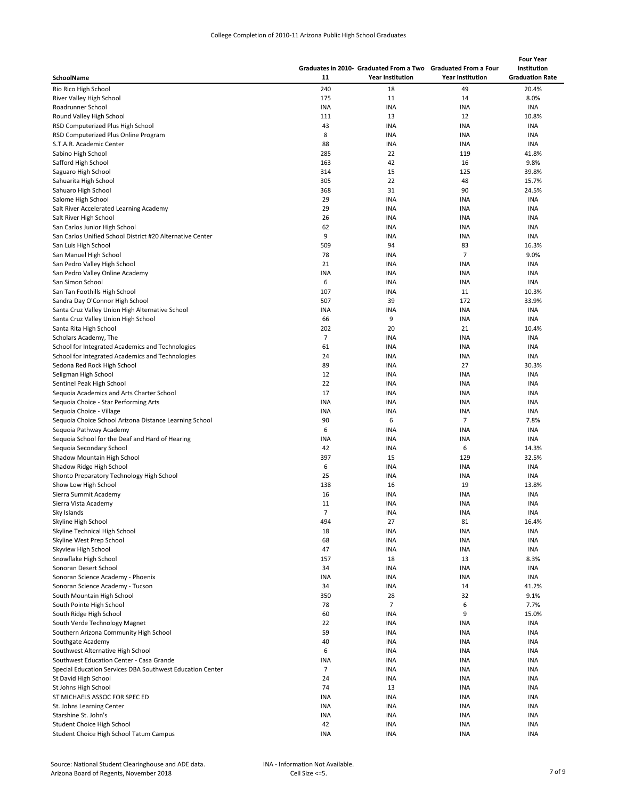|                                                                           |                  |                          | Graduates in 2010- Graduated From a Two Graduated From a Four | <b>Four Year</b><br>Institution |
|---------------------------------------------------------------------------|------------------|--------------------------|---------------------------------------------------------------|---------------------------------|
| SchoolName                                                                | 11               | <b>Year Institution</b>  | <b>Year Institution</b>                                       | <b>Graduation Rate</b>          |
| Rio Rico High School                                                      | 240              | 18                       | 49                                                            | 20.4%                           |
| River Valley High School                                                  | 175              | 11                       | 14                                                            | 8.0%                            |
| Roadrunner School                                                         | <b>INA</b>       | <b>INA</b>               | INA                                                           | INA                             |
| Round Valley High School                                                  | 111<br>43        | 13<br><b>INA</b>         | 12                                                            | 10.8%<br>INA                    |
| RSD Computerized Plus High School<br>RSD Computerized Plus Online Program | 8                | INA                      | INA<br>INA                                                    | INA                             |
| S.T.A.R. Academic Center                                                  | 88               | INA                      | INA                                                           | <b>INA</b>                      |
| Sabino High School                                                        | 285              | 22                       | 119                                                           | 41.8%                           |
| Safford High School                                                       | 163              | 42                       | 16                                                            | 9.8%                            |
| Saguaro High School                                                       | 314              | 15                       | 125                                                           | 39.8%                           |
| Sahuarita High School                                                     | 305              | 22                       | 48                                                            | 15.7%                           |
| Sahuaro High School                                                       | 368              | 31                       | 90                                                            | 24.5%                           |
| Salome High School                                                        | 29               | INA                      | <b>INA</b>                                                    | <b>INA</b>                      |
| Salt River Accelerated Learning Academy                                   | 29               | INA                      | INA                                                           | <b>INA</b>                      |
| Salt River High School                                                    | 26               | INA                      | INA                                                           | INA                             |
| San Carlos Junior High School                                             | 62               | INA                      | INA                                                           | INA                             |
| San Carlos Unified School District #20 Alternative Center                 | 9<br>509         | <b>INA</b><br>94         | INA<br>83                                                     | <b>INA</b><br>16.3%             |
| San Luis High School<br>San Manuel High School                            | 78               | <b>INA</b>               | $\overline{7}$                                                | 9.0%                            |
| San Pedro Valley High School                                              | 21               | <b>INA</b>               | INA                                                           | INA                             |
| San Pedro Valley Online Academy                                           | <b>INA</b>       | <b>INA</b>               | INA                                                           | INA                             |
| San Simon School                                                          | 6                | <b>INA</b>               | INA                                                           | INA                             |
| San Tan Foothills High School                                             | 107              | <b>INA</b>               | 11                                                            | 10.3%                           |
| Sandra Day O'Connor High School                                           | 507              | 39                       | 172                                                           | 33.9%                           |
| Santa Cruz Valley Union High Alternative School                           | INA              | <b>INA</b>               | <b>INA</b>                                                    | INA                             |
| Santa Cruz Valley Union High School                                       | 66               | 9                        | <b>INA</b>                                                    | INA                             |
| Santa Rita High School                                                    | 202              | 20                       | 21                                                            | 10.4%                           |
| Scholars Academy, The                                                     | $\overline{7}$   | <b>INA</b>               | INA                                                           | <b>INA</b>                      |
| School for Integrated Academics and Technologies                          | 61               | <b>INA</b>               | INA                                                           | <b>INA</b>                      |
| School for Integrated Academics and Technologies                          | 24               | <b>INA</b>               | INA                                                           | <b>INA</b>                      |
| Sedona Red Rock High School                                               | 89               | <b>INA</b>               | 27                                                            | 30.3%                           |
| Seligman High School                                                      | 12               | INA                      | INA                                                           | <b>INA</b>                      |
| Sentinel Peak High School                                                 | 22               | <b>INA</b>               | INA                                                           | INA                             |
| Sequoia Academics and Arts Charter School                                 | 17<br><b>INA</b> | <b>INA</b><br><b>INA</b> | INA<br><b>INA</b>                                             | INA<br>INA                      |
| Sequoia Choice - Star Performing Arts<br>Sequoia Choice - Village         | <b>INA</b>       | INA                      | INA                                                           | <b>INA</b>                      |
| Sequoia Choice School Arizona Distance Learning School                    | 90               | 6                        | $\overline{7}$                                                | 7.8%                            |
| Sequoia Pathway Academy                                                   | 6                | INA                      | INA                                                           | INA                             |
| Sequoia School for the Deaf and Hard of Hearing                           | INA              | <b>INA</b>               | INA                                                           | INA                             |
| Sequoia Secondary School                                                  | 42               | <b>INA</b>               | 6                                                             | 14.3%                           |
| Shadow Mountain High School                                               | 397              | 15                       | 129                                                           | 32.5%                           |
| Shadow Ridge High School                                                  | 6                | INA                      | INA                                                           | <b>INA</b>                      |
| Shonto Preparatory Technology High School                                 | 25               | <b>INA</b>               | <b>INA</b>                                                    | <b>INA</b>                      |
| Show Low High School                                                      | 138              | 16                       | 19                                                            | 13.8%                           |
| Sierra Summit Academy                                                     | 16               | <b>INA</b>               | INA                                                           | <b>INA</b>                      |
| Sierra Vista Academy                                                      | 11               | <b>INA</b>               | INA                                                           | <b>INA</b>                      |
| Sky Islands                                                               | $\overline{7}$   | INA                      | INA                                                           | <b>INA</b>                      |
| Skyline High School                                                       | 494              | 27                       | 81                                                            | 16.4%                           |
| Skyline Technical High School<br>Skyline West Prep School                 | 18<br>68         | <b>INA</b><br><b>INA</b> | INA<br><b>INA</b>                                             | INA<br>INA                      |
| Skyview High School                                                       | 47               | <b>INA</b>               | <b>INA</b>                                                    | INA                             |
| Snowflake High School                                                     | 157              | 18                       | 13                                                            | 8.3%                            |
| Sonoran Desert School                                                     | 34               | <b>INA</b>               | <b>INA</b>                                                    | INA                             |
| Sonoran Science Academy - Phoenix                                         | INA              | INA                      | <b>INA</b>                                                    | <b>INA</b>                      |
| Sonoran Science Academy - Tucson                                          | 34               | <b>INA</b>               | 14                                                            | 41.2%                           |
| South Mountain High School                                                | 350              | 28                       | 32                                                            | 9.1%                            |
| South Pointe High School                                                  | 78               | $\overline{7}$           | 6                                                             | 7.7%                            |
| South Ridge High School                                                   | 60               | <b>INA</b>               | 9                                                             | 15.0%                           |
| South Verde Technology Magnet                                             | 22               | <b>INA</b>               | INA                                                           | <b>INA</b>                      |
| Southern Arizona Community High School                                    | 59               | <b>INA</b>               | <b>INA</b>                                                    | INA                             |
| Southgate Academy                                                         | 40               | <b>INA</b>               | <b>INA</b>                                                    | <b>INA</b>                      |
| Southwest Alternative High School                                         | 6                | INA                      | INA                                                           | INA                             |
| Southwest Education Center - Casa Grande                                  | INA              | INA                      | <b>INA</b>                                                    | INA                             |
| Special Education Services DBA Southwest Education Center                 | $\overline{7}$   | <b>INA</b>               | <b>INA</b>                                                    | INA                             |
| St David High School                                                      | 24               | INA                      | INA                                                           | INA                             |
| St Johns High School                                                      | 74<br><b>INA</b> | 13<br>INA                | INA                                                           | INA                             |
| ST MICHAELS ASSOC FOR SPEC ED<br>St. Johns Learning Center                | <b>INA</b>       | <b>INA</b>               | INA<br>INA                                                    | INA<br>INA                      |
| Starshine St. John's                                                      | <b>INA</b>       | INA                      | <b>INA</b>                                                    | <b>INA</b>                      |
| Student Choice High School                                                | 42               | INA                      | INA                                                           | INA                             |
| Student Choice High School Tatum Campus                                   | <b>INA</b>       | INA                      | INA                                                           | INA                             |
|                                                                           |                  |                          |                                                               |                                 |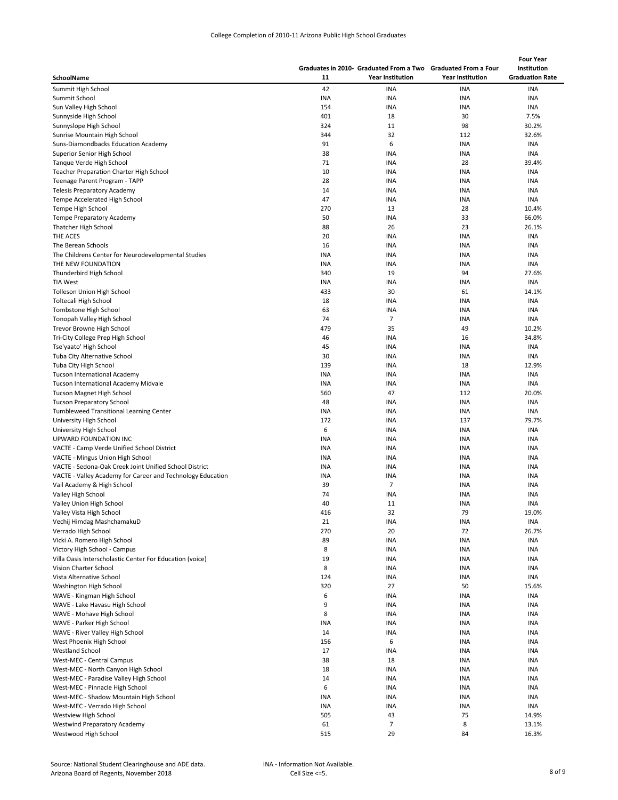|                                                             |            |                                                               |                          | <b>Four Year</b>       |  |
|-------------------------------------------------------------|------------|---------------------------------------------------------------|--------------------------|------------------------|--|
|                                                             |            | Graduates in 2010- Graduated From a Two Graduated From a Four |                          | Institution            |  |
| SchoolName                                                  | 11         | <b>Year Institution</b>                                       | <b>Year Institution</b>  | <b>Graduation Rate</b> |  |
| Summit High School                                          | 42         | <b>INA</b>                                                    | <b>INA</b>               | <b>INA</b>             |  |
| Summit School                                               | INA        | <b>INA</b>                                                    | <b>INA</b>               | <b>INA</b>             |  |
| Sun Valley High School                                      | 154        | INA                                                           | <b>INA</b>               | <b>INA</b>             |  |
| Sunnyside High School                                       | 401        | 18                                                            | 30                       | 7.5%                   |  |
| Sunnyslope High School                                      | 324        | 11                                                            | 98                       | 30.2%                  |  |
| Sunrise Mountain High School                                | 344        | 32                                                            | 112                      | 32.6%                  |  |
| Suns-Diamondbacks Education Academy                         | 91         | 6                                                             | INA                      | <b>INA</b>             |  |
| Superior Senior High School                                 | 38         | <b>INA</b>                                                    | INA                      | <b>INA</b>             |  |
| Tanque Verde High School                                    | 71         | INA                                                           | 28                       | 39.4%                  |  |
| <b>Teacher Preparation Charter High School</b>              | 10         | <b>INA</b>                                                    | INA                      | <b>INA</b>             |  |
| Teenage Parent Program - TAPP                               | 28         | <b>INA</b>                                                    | INA                      | <b>INA</b>             |  |
| <b>Telesis Preparatory Academy</b>                          | 14         | <b>INA</b>                                                    | INA                      | <b>INA</b>             |  |
| Tempe Accelerated High School                               | 47         | INA                                                           | <b>INA</b>               | <b>INA</b>             |  |
| Tempe High School                                           | 270        | 13                                                            | 28                       | 10.4%                  |  |
| <b>Tempe Preparatory Academy</b>                            | 50         | <b>INA</b>                                                    | 33                       | 66.0%                  |  |
| Thatcher High School                                        | 88         | 26                                                            | 23                       | 26.1%                  |  |
| THE ACES                                                    | 20         | INA                                                           | <b>INA</b>               | <b>INA</b>             |  |
| The Berean Schools                                          | 16         | <b>INA</b>                                                    | <b>INA</b>               | <b>INA</b>             |  |
| The Childrens Center for Neurodevelopmental Studies         | <b>INA</b> | <b>INA</b>                                                    | <b>INA</b>               | INA                    |  |
| THE NEW FOUNDATION                                          | <b>INA</b> | <b>INA</b>                                                    | INA                      | INA                    |  |
| Thunderbird High School                                     | 340        | 19                                                            | 94                       | 27.6%                  |  |
| <b>TIA West</b>                                             | INA        | <b>INA</b>                                                    | INA                      | <b>INA</b>             |  |
| Tolleson Union High School                                  | 433        | 30                                                            | 61                       | 14.1%                  |  |
| Toltecali High School                                       | 18         | INA                                                           | <b>INA</b>               | INA                    |  |
| Tombstone High School                                       | 63         | INA                                                           | <b>INA</b>               | INA                    |  |
| Tonopah Valley High School                                  | 74         | $\overline{7}$                                                | INA                      | INA                    |  |
| Trevor Browne High School                                   | 479        | 35                                                            | 49                       | 10.2%                  |  |
| Tri-City College Prep High School                           | 46         | INA                                                           | 16                       | 34.8%                  |  |
| Tse'yaato' High School                                      | 45         | <b>INA</b>                                                    | INA                      | <b>INA</b>             |  |
| <b>Tuba City Alternative School</b>                         | 30         | INA                                                           | INA                      | <b>INA</b>             |  |
| Tuba City High School                                       | 139        | INA                                                           | 18                       | 12.9%                  |  |
| Tucson International Academy                                | <b>INA</b> | INA                                                           | <b>INA</b>               | <b>INA</b>             |  |
| Tucson International Academy Midvale                        | <b>INA</b> | INA                                                           | INA                      | INA                    |  |
| Tucson Magnet High School                                   | 560        | 47                                                            | 112                      | 20.0%                  |  |
| <b>Tucson Preparatory School</b>                            | 48         | <b>INA</b>                                                    | <b>INA</b>               | <b>INA</b>             |  |
| Tumbleweed Transitional Learning Center                     | <b>INA</b> | <b>INA</b>                                                    | <b>INA</b>               | <b>INA</b>             |  |
| University High School                                      | 172        | <b>INA</b>                                                    | 137                      | 79.7%                  |  |
| University High School                                      | 6          | INA                                                           | <b>INA</b>               | <b>INA</b>             |  |
| UPWARD FOUNDATION INC                                       | INA        | INA                                                           | INA                      | <b>INA</b>             |  |
| VACTE - Camp Verde Unified School District                  | INA        | INA                                                           | INA                      | <b>INA</b>             |  |
| VACTE - Mingus Union High School                            | <b>INA</b> | INA                                                           | <b>INA</b>               | <b>INA</b>             |  |
| VACTE - Sedona-Oak Creek Joint Unified School District      | <b>INA</b> | INA                                                           | INA                      | INA                    |  |
| VACTE - Valley Academy for Career and Technology Education  | INA        | INA                                                           | INA                      | INA                    |  |
|                                                             | 39         | 7                                                             | INA                      | <b>INA</b>             |  |
| Vail Academy & High School<br>Valley High School            | 74         | <b>INA</b>                                                    | INA                      | INA                    |  |
| Valley Union High School                                    | 40         | 11                                                            | <b>INA</b>               | <b>INA</b>             |  |
|                                                             |            |                                                               |                          |                        |  |
| Valley Vista High School<br>Vechij Himdag MashchamakuD      | 416<br>21  | 32<br>INA                                                     | 79<br>INA                | 19.0%<br><b>INA</b>    |  |
| Verrado High School                                         | 270        | 20                                                            | 72                       | 26.7%                  |  |
|                                                             | 89         |                                                               | <b>INA</b>               | <b>INA</b>             |  |
| Vicki A. Romero High School<br>Victory High School - Campus | 8          | INA<br><b>INA</b>                                             | <b>INA</b>               | INA                    |  |
| Villa Oasis Interscholastic Center For Education (voice)    | 19         | <b>INA</b>                                                    | INA                      | <b>INA</b>             |  |
| Vision Charter School                                       | 8          |                                                               | <b>INA</b>               | INA                    |  |
| Vista Alternative School                                    | 124        | INA<br>INA                                                    | <b>INA</b>               | <b>INA</b>             |  |
|                                                             | 320        | 27                                                            | 50                       | 15.6%                  |  |
| Washington High School                                      | 6          |                                                               | <b>INA</b>               | <b>INA</b>             |  |
| WAVE - Kingman High School                                  | 9          | INA                                                           | INA                      | <b>INA</b>             |  |
| WAVE - Lake Havasu High School                              | 8          | <b>INA</b>                                                    | <b>INA</b>               | <b>INA</b>             |  |
| WAVE - Mohave High School                                   |            | INA                                                           |                          |                        |  |
| WAVE - Parker High School                                   | <b>INA</b> | INA                                                           | INA                      | INA                    |  |
| WAVE - River Valley High School                             | 14         | INA                                                           | <b>INA</b>               | <b>INA</b>             |  |
| West Phoenix High School<br><b>Westland School</b>          | 156<br>17  | 6<br>INA                                                      | <b>INA</b><br><b>INA</b> | <b>INA</b><br>INA      |  |
|                                                             |            |                                                               |                          |                        |  |
| West-MEC - Central Campus                                   | 38         | 18                                                            | INA                      | INA                    |  |
| West-MEC - North Canyon High School                         | 18         | <b>INA</b>                                                    | <b>INA</b>               | INA                    |  |
| West-MEC - Paradise Valley High School                      | 14         | INA                                                           | INA                      | INA                    |  |
| West-MEC - Pinnacle High School                             | 6          | <b>INA</b>                                                    | INA                      | INA                    |  |
| West-MEC - Shadow Mountain High School                      | INA        | <b>INA</b>                                                    | INA                      | INA                    |  |
| West-MEC - Verrado High School                              | <b>INA</b> | INA                                                           | INA                      | INA                    |  |
| Westview High School                                        | 505        | 43                                                            | 75                       | 14.9%                  |  |
| Westwind Preparatory Academy                                | 61         | $\overline{7}$                                                | 8                        | 13.1%                  |  |
| Westwood High School                                        | 515        | 29                                                            | 84                       | 16.3%                  |  |